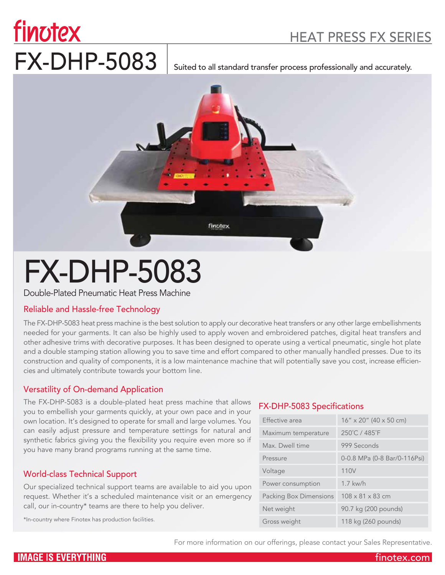# HEAT PRESS FX SERIES

# finotex FX-DHP-5083 suited to all standard transfer process professionally and accurately.



# FX-DHP-5083

Double-Plated Pneumatic Heat Press Machine

## Reliable and Hassle-free Technology

The FX-DHP-5083 heat press machine is the best solution to apply our decorative heat transfers or any other large embellishments needed for your garments. It can also be highly used to apply woven and embroidered patches, digital heat transfers and other adhesive trims with decorative purposes. It has been designed to operate using a vertical pneumatic, single hot plate and a double stamping station allowing you to save time and effort compared to other manually handled presses. Due to its construction and quality of components, it is a low maintenance machine that will potentially save you cost, increase efficiencies and ultimately contribute towards your bottom line.

## Versatility of On-demand Application

The FX-DHP-5083 is a double-plated heat press machine that allows you to embellish your garments quickly, at your own pace and in your own location. It's designed to operate for small and large volumes. You can easily adjust pressure and temperature settings for natural and synthetic fabrics giving you the flexibility you require even more so if you have many brand programs running at the same time.

## World-class Technical Support

Our specialized technical support teams are available to aid you upon request. Whether it's a scheduled maintenance visit or an emergency call, our in-country\* teams are there to help you deliver.

\*In-country where Finotex has production facilities.

## FX-DHP-5083 Specifications

| Effective area         | $16'' \times 20''$ (40 $\times$ 50 cm) |
|------------------------|----------------------------------------|
| Maximum temperature    | 250°C / 485°F                          |
| Max. Dwell time        | 999 Seconds                            |
| Pressure               | 0-0.8 MPa (0-8 Bar/0-116Psi)           |
| Voltage                | 110V                                   |
| Power consumption      | $1.7$ kw/h                             |
| Packing Box Dimensions | 108 x 81 x 83 cm                       |
| Net weight             | 90.7 kg (200 pounds)                   |
| Gross weight           | 118 kg (260 pounds)                    |

For more information on our offerings, please contact your Sales Representative.